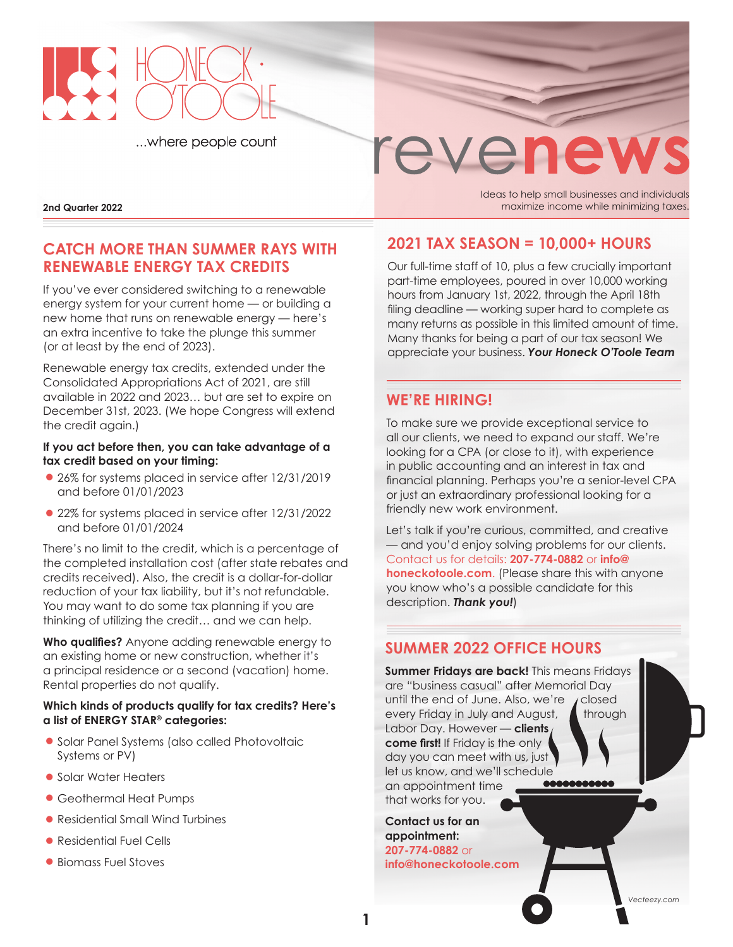

...where people count



**2nd Quarter 2022 2002 maximize income while minimizing taxes. 2013** maximize income while minimizing taxes.

# **CATCH MORE THAN SUMMER RAYS WITH RENEWABLE ENERGY TAX CREDITS**

If you've ever considered switching to a renewable energy system for your current home — or building a new home that runs on renewable energy — here's an extra incentive to take the plunge this summer (or at least by the end of 2023).

Renewable energy tax credits, extended under the Consolidated Appropriations Act of 2021, are still available in 2022 and 2023… but are set to expire on December 31st, 2023. (We hope Congress will extend the credit again.)

#### **If you act before then, you can take advantage of a tax credit based on your timing:**

- **•**26% for systems placed in service after 12/31/2019 and before 01/01/2023
- **•**22% for systems placed in service after 12/31/2022 and before 01/01/2024

There's no limit to the credit, which is a percentage of the completed installation cost (after state rebates and credits received). Also, the credit is a dollar-for-dollar reduction of your tax liability, but it's not refundable. You may want to do some tax planning if you are thinking of utilizing the credit… and we can help.

**Who qualifies?** Anyone adding renewable energy to an existing home or new construction, whether it's a principal residence or a second (vacation) home. Rental properties do not qualify.

#### **Which kinds of products qualify for tax credits? Here's a list of ENERGY STAR® categories:**

- **•**Solar Panel Systems (also called Photovoltaic Systems or PV)
- **•**Solar Water Heaters
- **•**Geothermal Heat Pumps
- **•**Residential Small Wind Turbines
- **•**Residential Fuel Cells
- **•**Biomass Fuel Stoves

Ideas to help small businesses and individuals

# **2021 TAX SEASON = 10,000+ HOURS**

Our full-time staff of 10, plus a few crucially important part-time employees, poured in over 10,000 working hours from January 1st, 2022, through the April 18th filing deadline — working super hard to complete as many returns as possible in this limited amount of time. Many thanks for being a part of our tax season! We appreciate your business. *Your Honeck O'Toole Team*

## **WE'RE HIRING!**

To make sure we provide exceptional service to all our clients, we need to expand our staff. We're looking for a CPA (or close to it), with experience in public accounting and an interest in tax and financial planning. Perhaps you're a senior-level CPA or just an extraordinary professional looking for a friendly new work environment.

Let's talk if you're curious, committed, and creative — and you'd enjoy solving problems for our clients. Contact us for details: **207-774-0882** or **[info@](mailto:info@honeckotoole.com) [honeckotoole.com](mailto:info@honeckotoole.com)**. (Please share this with anyone you know who's a possible candidate for this description. *Thank you!*)

## **SUMMER 2022 OFFICE HOURS**

**Summer Fridays are back!** This means Fridays are "business casual" after Memorial Day until the end of June. Also, we're  $\sqrt{\phantom{a}}$  closed every Friday in July and August,  $\blacksquare$  through Labor Day. However — **clients come first!** If Friday is the only day you can meet with us, just let us know, and we'll schedule 0000000000 an appointment time that works for you.

**Contact us for an appointment: 207-774-0882** or **[info@honeckotoole.com](mailto:info@honeckotoole.com)**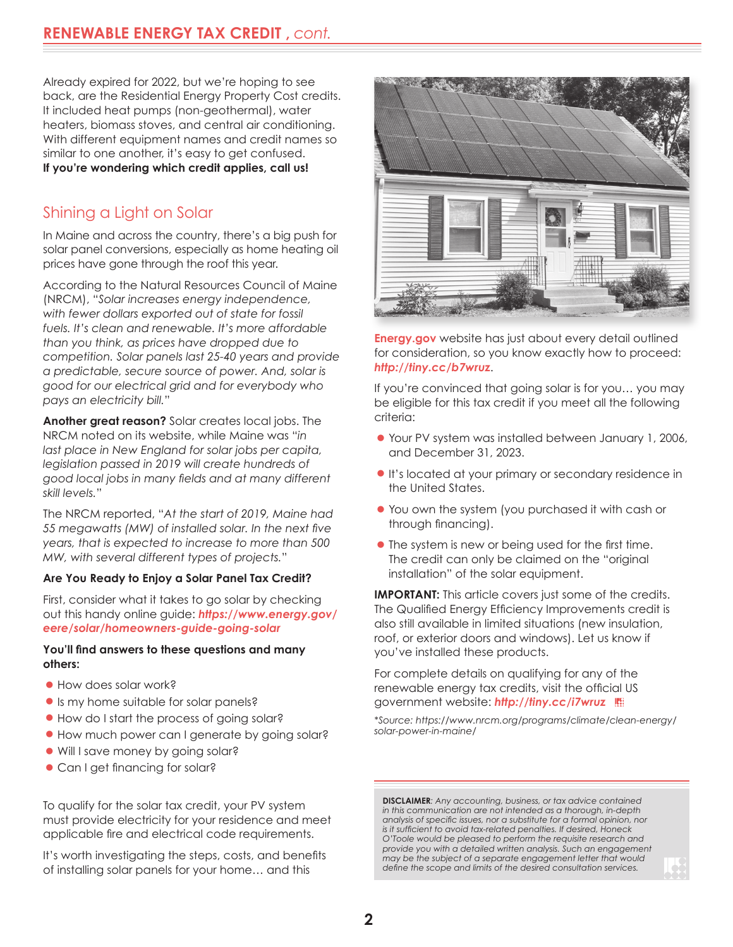Already expired for 2022, but we're hoping to see back, are the Residential Energy Property Cost credits. It included heat pumps (non-geothermal), water heaters, biomass stoves, and central air conditioning. With different equipment names and credit names so similar to one another, it's easy to get confused. **If you're wondering which credit applies, call us!** 

# Shining a Light on Solar

In Maine and across the country, there's a big push for solar panel conversions, especially as home heating oil prices have gone through the roof this year.

According to the Natural Resources Council of Maine (NRCM), "*Solar increases energy independence, with fewer dollars exported out of state for fossil fuels. It's clean and renewable. It's more affordable than you think, as prices have dropped due to competition. Solar panels last 25-40 years and provide a predictable, secure source of power. And, solar is good for our electrical grid and for everybody who pays an electricity bill.*"

**Another great reason?** Solar creates local jobs. The NRCM noted on its website, while Maine was "*in last place in New England for solar jobs per capita, legislation passed in 2019 will create hundreds of good local jobs in many fields and at many different skill levels.*"

The NRCM reported, "*At the start of 2019, Maine had 55 megawatts (MW) of installed solar. In the next five years, that is expected to increase to more than 500 MW, with several different types of projects.*"

#### **Are You Ready to Enjoy a Solar Panel Tax Credit?**

First, consider what it takes to go solar by checking out this handy online guide: *[https://www.energy.gov/]( https://www.energy.gov/eere/solar/homeowners-guide-going-solar) [eere/solar/homeowners-guide-going-solar]( https://www.energy.gov/eere/solar/homeowners-guide-going-solar)*

#### **You'll find answers to these questions and many others:**

- **•**How does solar work?
- **•**Is my home suitable for solar panels?
- **•**How do I start the process of going solar?
- **•** How much power can I generate by going solar?
- **•**Will I save money by going solar?
- **•**Can I get financing for solar?

To qualify for the solar tax credit, your PV system must provide electricity for your residence and meet applicable fire and electrical code requirements.

It's worth investigating the steps, costs, and benefits of installing solar panels for your home… and this



**[Energy.gov](http://Energy.gov)** website has just about every detail outlined for consideration, so you know exactly how to proceed: *[http://tiny.cc/b7wruz](https://www.energy.gov/eere/solar/homeowners-guide-federal-tax-credit-solar-photovoltaics)*.

If you're convinced that going solar is for you… you may be eligible for this tax credit if you meet all the following criteria:

- **•**Your PV system was installed between January 1, 2006, and December 31, 2023.
- **•**It's located at your primary or secondary residence in the United States.
- **•**You own the system (you purchased it with cash or through financing).
- **•**The system is new or being used for the first time. The credit can only be claimed on the "original installation" of the solar equipment.

**IMPORTANT:** This article covers just some of the credits. The Qualified Energy Efficiency Improvements credit is also still available in limited situations (new insulation, roof, or exterior doors and windows). Let us know if you've installed these products.

For complete details on qualifying for any of the renewable energy tax credits, visit the official US government website: *[http://tiny.cc/i7wruz](https://www.energystar.gov/about/federal_tax_credits/renewable_energy_tax_credits)*

*\*Source: [https://www.nrcm.org/programs/climate/clean-energy/](https://www.nrcm.org/programs/climate/clean-energy/solar-power-in-maine/) [solar-power-in-maine/](https://www.nrcm.org/programs/climate/clean-energy/solar-power-in-maine/)*

**DISCLAIMER***: Any accounting, business, or tax advice contained in this communication are not intended as a thorough, in-depth analysis of specific issues, nor a substitute for a formal opinion, nor is it sufficient to avoid tax-related penalties. If desired, Honeck O'Toole would be pleased to perform the requisite research and provide you with a detailed written analysis. Such an engagement may be the subject of a separate engagement letter that would define the scope and limits of the desired consultation services.*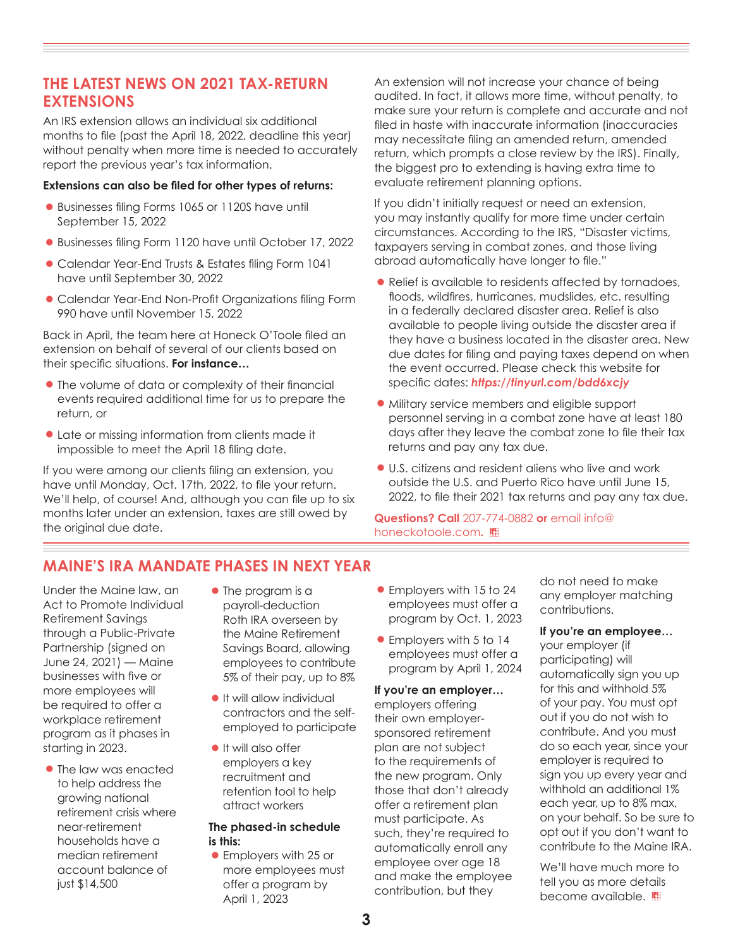## **THE LATEST NEWS ON 2021 TAX-RETURN EXTENSIONS**

An IRS extension allows an individual six additional months to file (past the April 18, 2022, deadline this year) without penalty when more time is needed to accurately report the previous year's tax information.

#### **Extensions can also be filed for other types of returns:**

- **•**Businesses filing Forms 1065 or 1120S have until September 15, 2022
- **•**Businesses filing Form 1120 have until October 17, 2022
- **•**Calendar Year-End Trusts & Estates filing Form 1041 have until September 30, 2022
- **•**Calendar Year-End Non-Profit Organizations filing Form 990 have until November 15, 2022

Back in April, the team here at Honeck O'Toole filed an extension on behalf of several of our clients based on their specific situations. **For instance…**

- **•**The volume of data or complexity of their financial events required additional time for us to prepare the return, or
- **•**Late or missing information from clients made it impossible to meet the April 18 filing date.

If you were among our clients filing an extension, you have until Monday, Oct. 17th, 2022, to file your return. We'll help, of course! And, although you can file up to six months later under an extension, taxes are still owed by the original due date.

An extension will not increase your chance of being audited. In fact, it allows more time, without penalty, to make sure your return is complete and accurate and not filed in haste with inaccurate information (inaccuracies may necessitate filing an amended return, amended return, which prompts a close review by the IRS). Finally, the biggest pro to extending is having extra time to evaluate retirement planning options.

If you didn't initially request or need an extension, you may instantly qualify for more time under certain circumstances. According to the IRS, "Disaster victims, taxpayers serving in combat zones, and those living abroad automatically have longer to file."

- **•**Relief is available to residents affected by tornadoes, floods, wildfires, hurricanes, mudslides, etc. resulting in a federally declared disaster area. Relief is also available to people living outside the disaster area if they have a business located in the disaster area. New due dates for filing and paying taxes depend on when the event occurred. Please check this website for specific dates: *[https://tinyurl.com/bdd6xcjy](https://www.irs.gov/newsroom/extensions-of-time-to-file-tax-returns-some-taxpayers-instantly-qualify)*
- **•**Military service members and eligible support personnel serving in a combat zone have at least 180 days after they leave the combat zone to file their tax returns and pay any tax due.
- **•**U.S. citizens and resident aliens who live and work outside the U.S. and Puerto Rico have until June 15, 2022, to file their 2021 tax returns and pay any tax due.

**Questions? Call** 207-774-0882 **or** email info@ honeckotoole.com**.**

# **MAINE'S IRA MANDATE PHASES IN NEXT YEAR**

Under the Maine law, an Act to Promote Individual Retirement Savings through a Public-Private Partnership (signed on June 24, 2021) — Maine businesses with five or more employees will be required to offer a workplace retirement program as it phases in starting in 2023.

- **•**The law was enacted to help address the growing national retirement crisis where near-retirement households have a median retirement account balance of just \$14,500
- **•**The program is a payroll-deduction Roth IRA overseen by the Maine Retirement Savings Board, allowing employees to contribute 5% of their pay, up to 8%
- **•**It will allow individual contractors and the selfemployed to participate
- **•**It will also offer employers a key recruitment and retention tool to help attract workers

#### **The phased-in schedule is this:**

**•**Employers with 25 or more employees must offer a program by April 1, 2023

- **•**Employers with 15 to 24 employees must offer a program by Oct. 1, 2023
- **•**Employers with 5 to 14 employees must offer a program by April 1, 2024

#### **If you're an employer…**

employers offering their own employersponsored retirement plan are not subject to the requirements of the new program. Only those that don't already offer a retirement plan must participate. As such, they're required to automatically enroll any employee over age 18 and make the employee contribution, but they

do not need to make any employer matching contributions.

#### **If you're an employee…**

your employer (if participating) will automatically sign you up for this and withhold 5% of your pay. You must opt out if you do not wish to contribute. And you must do so each year, since your employer is required to sign you up every year and withhold an additional 1% each year, up to 8% max, on your behalf. So be sure to opt out if you don't want to contribute to the Maine IRA.

We'll have much more to tell you as more details become available.